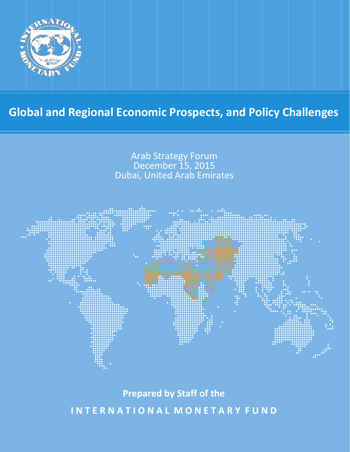

# **Global and Regional Economic Prospects, and Policy Challenges**



**Prepared by Staff of the**

**I N T E R N A T I O N A L M O N E T A R Y F U N D**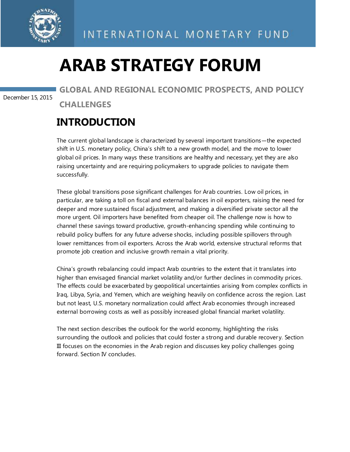

# **ARAB STRATEGY FORUM**

December 15, 2015

**GLOBAL AND REGIONAL ECONOMIC PROSPECTS, AND POLICY CHALLENGES**

### **INTRODUCTION**

The current global landscape is characterized by several important transitions—the expected shift in U.S. monetary policy, China's shift to a new growth model, and the move to lower global oil prices. In many ways these transitions are healthy and necessary, yet they are also raising uncertainty and are requiring policymakers to upgrade policies to navigate them successfully.

These global transitions pose significant challenges for Arab countries. Low oil prices, in particular, are taking a toll on fiscal and external balances in oil exporters, raising the need for deeper and more sustained fiscal adjustment, and making a diversified private sector all the more urgent. Oil importers have benefited from cheaper oil. The challenge now is how to channel these savings toward productive, growth-enhancing spending while continuing to rebuild policy buffers for any future adverse shocks, including possible spillovers through lower remittances from oil exporters. Across the Arab world, extensive structural reforms that promote job creation and inclusive growth remain a vital priority.

China's growth rebalancing could impact Arab countries to the extent that it translates into higher than envisaged financial market volatility and/or further declines in commodity prices. The effects could be exacerbated by geopolitical uncertainties arising from complex conflicts in Iraq, Libya, Syria, and Yemen, which are weighing heavily on confidence across the region. Last but not least, U.S. monetary normalization could affect Arab economies through increased external borrowing costs as well as possibly increased global financial market volatility.

The next section describes the outlook for the world economy, highlighting the risks surrounding the outlook and policies that could foster a strong and durable recover y. Section III focuses on the economies in the Arab region and discusses key policy challenges going forward. Section IV concludes.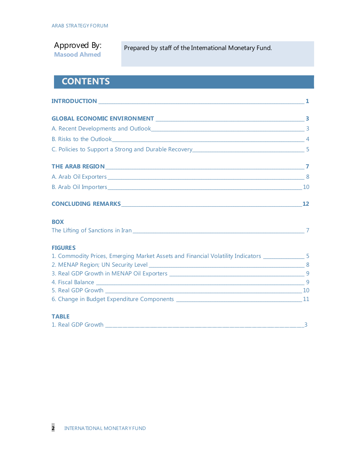Approved By: **Masood Ahmed**

Prepared by staff of the International Monetary Fund.

### **CONTENTS**

| A. Arab Oil Exporters 6. 2008 100 2009 100 2009 100 2009 100 2009 100 2009 100 2009 100 2009 100 2009 100 200                                                                                                                 |  |
|-------------------------------------------------------------------------------------------------------------------------------------------------------------------------------------------------------------------------------|--|
|                                                                                                                                                                                                                               |  |
| CONCLUDING REMARKS 12                                                                                                                                                                                                         |  |
| <b>BOX</b>                                                                                                                                                                                                                    |  |
| The Lifting of Sanctions in Iran 2008 and 2009 and 2009 and 2010 and 2010 and 2010 and 2010 and 2010 and 2010 and 2010 and 2010 and 2010 and 2010 and 2010 and 2010 and 2010 and 2010 and 2010 and 2010 and 2010 and 2010 and |  |
| <b>FIGURES</b>                                                                                                                                                                                                                |  |
| 1. Commodity Prices, Emerging Market Assets and Financial Volatility Indicators ___________________ 5                                                                                                                         |  |
|                                                                                                                                                                                                                               |  |
|                                                                                                                                                                                                                               |  |
|                                                                                                                                                                                                                               |  |
|                                                                                                                                                                                                                               |  |
|                                                                                                                                                                                                                               |  |
| <b>TABLE</b>                                                                                                                                                                                                                  |  |

| 1. Real GDP Growth |  |
|--------------------|--|
|                    |  |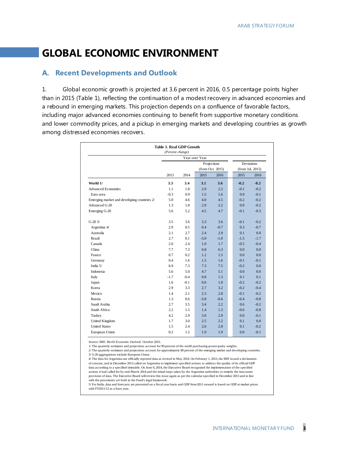### **GLOBAL ECONOMIC ENVIRONMENT**

#### **A. Recent Developments and Outlook**

1. Global economic growth is projected at 3.6 percent in 2016, 0.5 percentage points higher than in 2015 (Table 1), reflecting the continuation of a modest recovery in advanced economies and a rebound in emerging markets. This projection depends on a confluence of favorable factors, including major advanced economies continuing to benefit from supportive monetary conditions and lower commodity prices, and a pickup in emerging markets and developing countries as growth among distressed economies recovers.

| <b>Table 1. Real GDP Growth</b><br>(Percent change) |                |        |                  |        |  |                  |        |  |
|-----------------------------------------------------|----------------|--------|------------------|--------|--|------------------|--------|--|
|                                                     | Year over Year |        |                  |        |  |                  |        |  |
|                                                     |                |        | Projections      |        |  | Deviations       |        |  |
|                                                     |                |        | (from Oct. 2015) |        |  | (from Jul. 2015) |        |  |
|                                                     | 2013           | 2014   | 2015             | 2016   |  | 2015             | 2016   |  |
| World 1/                                            | 3.3            | 3.4    | 3.1              | 3.6    |  | $-0.2$           | $-0.2$ |  |
| <b>Advanced Economies</b>                           | 1.1            | 1.8    | 2.0              | 2.2    |  | $-0.1$           | $-0.2$ |  |
| Euro area                                           | $-0.3$         | 0.9    | 1.5              | 1.6    |  | 0.0              | $-0.1$ |  |
| Emerging market and developing countries 2/         | 5.0            | 4.6    | 4.0              | 4.5    |  | $-0.2$           | $-0.2$ |  |
| Advanced G-20                                       | 1.3            | 1.8    | 2.0              | 2.2    |  | 0.0              | $-0.2$ |  |
| Emerging G-20                                       | 5.6            | 5.2    | 4.5              | 4.7    |  | $-0.1$           | $-0.3$ |  |
| $G-203/$                                            | 3.5            | 3.6    | 3.3              | 3.6    |  | $-0.1$           | $-0.2$ |  |
| Argentina 4/                                        | 2.9            | 0.5    | 0.4              | $-0.7$ |  | 0.3              | $-0.7$ |  |
| Australia                                           | 2.1            | 2.7    | 2.4              | 2.9    |  | 0.1              | 0.0    |  |
| <b>Brazil</b>                                       | 2.7            | 0.1    | $-3.0$           | $-1.0$ |  | $-1.5$           | $-1.7$ |  |
| Canada                                              | 2.0            | 2.4    | 1.0              | 1.7    |  | $-0.5$           | $-0.4$ |  |
| China                                               | 7.7            | 7.3    | 6.8              | 6.3    |  | 0.0              | 0.0    |  |
| France                                              | 0.7            | 0.2    | 1.2              | 1.5    |  | 0.0              | 0.0    |  |
| Germany                                             | 0.4            | 1.6    | 1.5              | 1.6    |  | $-0.1$           | $-0.1$ |  |
| India 5/                                            | 6.9            | 7.3    | 7.3              | 7.5    |  | $-0.2$           | 0.0    |  |
| Indonesia                                           | 5.6            | 5.0    | 4.7              | 5.1    |  | 0.0              | 0.0    |  |
| Italy                                               | $-1.7$         | $-0.4$ | 0.8              | 1.3    |  | 0.1              | 0.1    |  |
| Japan                                               | 1.6            | $-0.1$ | 0.6              | 1.0    |  | $-0.2$           | $-0.2$ |  |
| Korea                                               | 2.9            | 3.3    | 2.7              | 3.2    |  | $-0.2$           | $-0.4$ |  |
| Mexico                                              | 1.4            | 2.1    | 2.3              | 2.8    |  | $-0.1$           | $-0.2$ |  |
| Russia                                              | 1.3            | 0.6    | $-3.8$           | $-0.6$ |  | $-0.4$           | $-0.8$ |  |
| Saudi Arabia                                        | 2.7            | 3.5    | 3.4              | 2.2    |  | 0.6              | $-0.2$ |  |
| South Africa                                        | 2.2            | 1.5    | 1.4              | 1.3    |  | $-0.6$           | $-0.8$ |  |
| Turkey                                              | 4.2            | 2.9    | 3.0              | 2.9    |  | 0.0              | $-0.1$ |  |
| <b>United Kingdom</b>                               | 1.7            | 3.0    | 2.5              | 2.2    |  | 0.1              | 0.0    |  |
| <b>United States</b>                                | 1.5            | 2.4    | 2.6              | 2.8    |  | 0.1              | $-0.2$ |  |
| European Union                                      | 0.2            | 1.5    | 1.9              | 1.9    |  | 0.0              | $-0.1$ |  |

Source: IMF, *World Economic Outlook* October 2015.

1/ The quarterly estimates and projections account for 90 percent of the world purchasing-power-parity weights.

2/ The quarterly estimates and projections account for approximately 80 percent of the emerging market and developing countries. 3/ G-20 aggregations exclude European Union.

provision of data. The Executive Board will review this issue again as per the calendar specified in December 2013 and in line with the procedures set forth in the Fund's legal framework. 4/ The data for Argentina are officially reported data as revised in May 2014. On February 1, 2013, the IMF issued a declaration of censure, and in December 2013 called on Argentina to implement specified actions to address the quality of its official GDP data according to a specified timetable. On June 6, 2014, the Executive Board recognized the implementation of the specified actions it had called for by end-March 2014 and the initial steps taken by the Argentine authorities to remedy the inaccurate

5/ For India, data and forecasts are presented on a fiscal year basis and GDP from 2011 onward is based on GDP at market prices with FY2011/12 as a base year.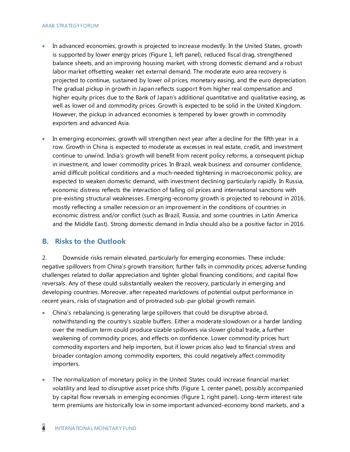#### ARAB STRATEGY FORUM

- In advanced economies, growth is projected to increase modestly. In the United States, growth is supported by lower energy prices (Figure 1, left panel), reduced fiscal drag, strengthened balance sheets, and an improving housing market, with strong domestic demand and a robust labor market offsetting weaker net external demand. The moderate euro area recovery is projected to continue, sustained by lower oil prices, monetary easing, and the euro depreciation. The gradual pickup in growth in Japan reflects support from higher real compensation and higher equity prices due to the Bank of Japan's additional quantitative and qualitative easing, as well as lower oil and commodity prices. Growth is expected to be solid in the United Kingdom. However, the pickup in advanced economies is tempered by lower growth in commodity exporters and advanced Asia.
- In emerging economies, growth will strengthen next year after a decline for the fifth year in a row. Growth in China is expected to moderate as excesses in real estate, credit, and investment continue to unwind. India's growth will benefit from recent policy reforms, a consequent pickup in investment, and lower commodity prices. In Brazil, weak business and consumer confidence, amid difficult political conditions and a much-needed tightening in macroeconomic policy, are expected to weaken domestic demand, with investment declining particularly rapidly. In Russia, economic distress reflects the interaction of falling oil prices and international sanctions with pre-existing structural weaknesses. Emerging-economy growth is projected to rebound in 2016, mostly reflecting a smaller recession or an improvement in the conditions of countries in economic distress and/or conflict (such as Brazil, Russia, and some countries in Latin America and the Middle East). Strong domestic demand in India should also be a positive factor in 2016.

#### **B. Risks to the Outlook**

2. Downside risks remain elevated, particularly for emerging economies. These include: negative spillovers from China's growth transition; further falls in commodity prices; adverse funding challenges related to dollar appreciation and tighter global financing conditions; and capital flow reversals. Any of these could substantially weaken the recovery, particularly in emerging and developing countries. Moreover, after repeated markdowns of potential output performance in recent years, risks of stagnation and of protracted sub-par global growth remain.

- China's rebalancing is generating large spillovers that could be disruptive abroad, notwithstanding the country's sizable buffers. Either a moderate slowdown or a harder landing over the medium term could produce sizable spillovers via slower global trade, a further weakening of commodity prices, and effects on confidence. Lower commodity prices hurt commodity exporters and help importers, but if lower prices also lead to financial stress and broader contagion among commodity exporters, this could negatively affect commodity importers.
- The normalization of monetary policy in the United States could increase financial market volatility and lead to disruptive asset price shifts (Figure 1, center panel), possibly accompanied by capital flow reversals in emerging economies (Figure 1, right panel). Long-term interest rate term premiums are historically low in some important advanced-economy bond markets, and a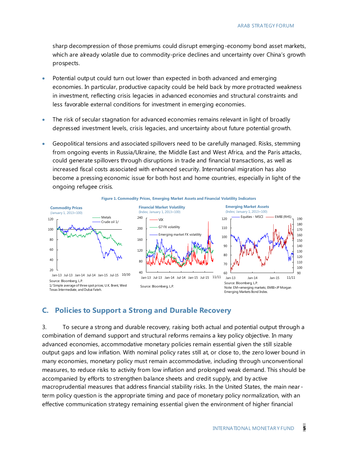sharp decompression of those premiums could disrupt emerging-economy bond asset markets, which are already volatile due to commodity-price declines and uncertainty over China's growth prospects.

- Potential output could turn out lower than expected in both advanced and emerging economies. In particular, productive capacity could be held back by more protracted weakness in investment, reflecting crisis legacies in advanced economies and structural constraints and less favorable external conditions for investment in emerging economies.
- The risk of secular stagnation for advanced economies remains relevant in light of broadly depressed investment levels, crisis legacies, and uncertainty about future potential growth.
- Geopolitical tensions and associated spillovers need to be carefully managed. Risks, stemming from ongoing events in Russia/Ukraine, the Middle East and West Africa, and the Paris attacks, could generate spillovers through disruptions in trade and financial transactions, as well as increased fiscal costs associated with enhanced security. International migration has also become a pressing economic issue for both host and home countries, especially in light of the ongoing refugee crisis.



#### **C. Policies to Support a Strong and Durable Recovery**

3. To secure a strong and durable recovery, raising both actual and potential output through a combination of demand support and structural reforms remains a key policy objective. In many advanced economies, accommodative monetary policies remain essential given the still sizable output gaps and low inflation. With nominal policy rates still at, or close to, the zero lower bound in many economies, monetary policy must remain accommodative, including through unconventional measures, to reduce risks to activity from low inflation and prolonged weak demand. This should be accompanied by efforts to strengthen balance sheets and credit supply, and by active macroprudential measures that address financial stability risks. In the United States, the main near term policy question is the appropriate timing and pace of monetary policy normalization, with an effective communication strategy remaining essential given the environment of higher financial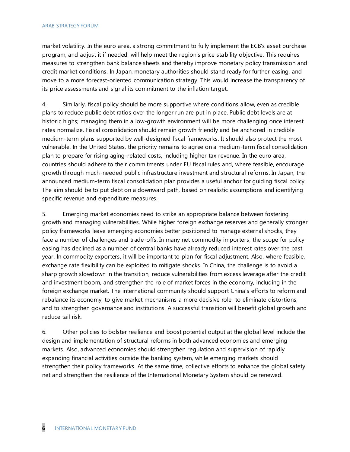market volatility. In the euro area, a strong commitment to fully implement the ECB's asset purchase program, and adjust it if needed, will help meet the region's price stability objective. This requires measures to strengthen bank balance sheets and thereby improve monetary policy transmission and credit market conditions. In Japan, monetary authorities should stand ready for further easing, and move to a more forecast-oriented communication strategy. This would increase the transparency of its price assessments and signal its commitment to the inflation target.

4. Similarly, fiscal policy should be more supportive where conditions allow, even as credible plans to reduce public debt ratios over the longer run are put in place. Public debt levels are at historic highs; managing them in a low-growth environment will be more challenging once interest rates normalize. Fiscal consolidation should remain growth friendly and be anchored in credible medium-term plans supported by well-designed fiscal frameworks. It should also protect the most vulnerable. In the United States, the priority remains to agree on a medium-term fiscal consolidation plan to prepare for rising aging-related costs, including higher tax revenue. In the euro area, countries should adhere to their commitments under EU fiscal rules and, where feasible, encourage growth through much-needed public infrastructure investment and structural reforms. In Japan, the announced medium-term fiscal consolidation plan provides a useful anchor for guiding fiscal policy. The aim should be to put debt on a downward path, based on realistic assumptions and identifying specific revenue and expenditure measures.

5. Emerging market economies need to strike an appropriate balance between fostering growth and managing vulnerabilities. While higher foreign exchange reserves and generally stronger policy frameworks leave emerging economies better positioned to manage external shocks, they face a number of challenges and trade-offs. In many net commodity importers, the scope for policy easing has declined as a number of central banks have already reduced interest rates over the past year. In commodity exporters, it will be important to plan for fiscal adjustment. Also, where feasible, exchange rate flexibility can be exploited to mitigate shocks. In China, the challenge is to avoid a sharp growth slowdown in the transition, reduce vulnerabilities from excess leverage after the credit and investment boom, and strengthen the role of market forces in the economy, including in the foreign exchange market. The international community should support China's efforts to reform and rebalance its economy, to give market mechanisms a more decisive role, to eliminate distortions, and to strengthen governance and institutions. A successful transition will benefit global growth and reduce tail risk.

6. Other policies to bolster resilience and boost potential output at the global level include the design and implementation of structural reforms in both advanced economies and emerging markets. Also, advanced economies should strengthen regulation and supervision of rapidly expanding financial activities outside the banking system, while emerging markets should strengthen their policy frameworks. At the same time, collective efforts to enhance the global safety net and strengthen the resilience of the International Monetary System should be renewed.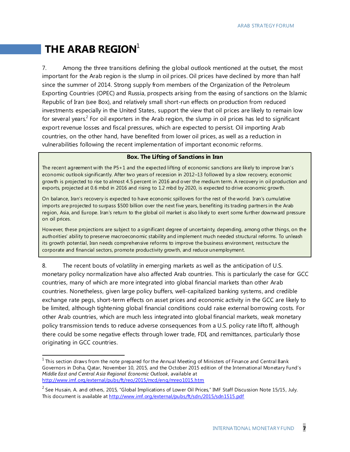## **THE ARAB REGION**<sup>1</sup>

l

7. Among the three transitions defining the global outlook mentioned at the outset, the most important for the Arab region is the slump in oil prices. Oil prices have declined by more than half since the summer of 2014. Strong supply from members of the Organization of the Petroleum Exporting Countries (OPEC) and Russia, prospects arising from the easing of sanctions on the Islamic Republic of Iran (see Box), and relatively small short-run effects on production from reduced investments especially in the United States, support the view that oil prices are likely to remain low for several years.<sup>2</sup> For oil exporters in the Arab region, the slump in oil prices has led to significant export revenue losses and fiscal pressures, which are expected to persist. Oil importing Arab countries, on the other hand, have benefited from lower oil prices, as well as a reduction in vulnerabilities following the recent implementation of important economic reforms.

#### **Box. The Lifting of Sanctions in Iran**

The recent agreement with the P5+1 and the expected lifting of economic sanctions are likely to improve Iran's economic outlook significantly. After two years of recession in 2012–13 followed by a slow recovery, economic growth is projected to rise to almost 4.5 percent in 2016 and over the medium term. A recovery in oil production and exports, projected at 0.6 mbd in 2016 and rising to 1.2 mbd by 2020, is expected to drive economic growth.

On balance, Iran's recovery is expected to have economic spillovers for the rest of the world. Iran's cumulative imports are projected to surpass \$500 billion over the next five years, benefiting its trading partners in the Arab region, Asia, and Europe. Iran's return to the global oil market is also likely to exert some further downward pressure on oil prices.

However, these projections are subject to a significant degree of uncertainty, depending, among other things, on the authorities' ability to preserve macroeconomic stability and implement much needed structural reforms. To unleash its growth potential, Iran needs comprehensive reforms to improve the business environment, restructure the corporate and financial sectors, promote productivity growth, and reduce unemployment.

8. The recent bouts of volatility in emerging markets as well as the anticipation of U.S. monetary policy normalization have also affected Arab countries. This is particularly the case for GCC countries, many of which are more integrated into global financial markets than other Arab countries. Nonetheless, given large policy buffers, well-capitalized banking systems, and credible exchange rate pegs, short-term effects on asset prices and economic activity in the GCC are likely to be limited, although tightening global financial conditions could raise external borrowing costs. For other Arab countries, which are much less integrated into global financial markets, weak monetary policy transmission tends to reduce adverse consequences from a U.S. policy rate liftoff, although there could be some negative effects through lower trade, FDI, and remittances, particularly those originating in GCC countries.

 $^{\text{1}}$  This section draws from the note prepared for the Annual Meeting of Ministers of Finance and Central Bank Governors in Doha, Qatar, November 10, 2015, and the October 2015 edition of the International Monetary Fund's *Middle East and Central Asia Regional Economic Outlook*, available at <http://www.imf.org/external/pubs/ft/reo/2015/mcd/eng/mreo1015.htm>

 $^2$  See Husain, A. and others, 2015, "Global Implications of Lower Oil Prices," IMF Staff Discussion Note 15/15, July. This document is available a[t http://www.imf.org/external/pubs/ft/sdn/2015/sdn1515.pdf](http://www.imf.org/external/pubs/ft/sdn/2015/sdn1515.pdf)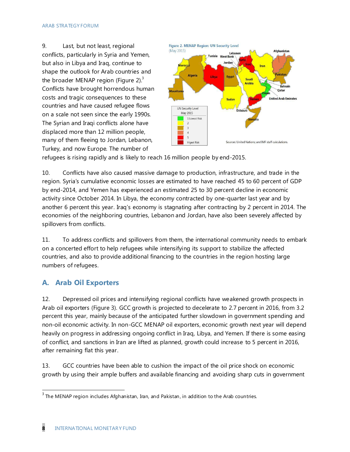9. Last, but not least, regional conflicts, particularly in Syria and Yemen, but also in Libya and Iraq, continue to shape the outlook for Arab countries and the broader MENAP region (Figure 2). $3$ Conflicts have brought horrendous human costs and tragic consequences to these countries and have caused refugee flows on a scale not seen since the early 1990s. The Syrian and Iraqi conflicts alone have displaced more than 12 million people, many of them fleeing to Jordan, Lebanon, Turkey, and now Europe. The number of



refugees is rising rapidly and is likely to reach 16 million people by end-2015.

10. Conflicts have also caused massive damage to production, infrastructure, and trade in the region. Syria's cumulative economic losses are estimated to have reached 45 to 60 percent of GDP by end-2014, and Yemen has experienced an estimated 25 to 30 percent decline in economic activity since October 2014. In Libya, the economy contracted by one-quarter last year and by another 6 percent this year. Iraq's economy is stagnating after contracting by 2 percent in 2014. The economies of the neighboring countries, Lebanon and Jordan, have also been severely affected by spillovers from conflicts.

11. To address conflicts and spillovers from them, the international community needs to embark on a concerted effort to help refugees while intensifying its support to stabilize the affected countries, and also to provide additional financing to the countries in the region hosting large numbers of refugees.

### **A. Arab Oil Exporters**

12. Depressed oil prices and intensifying regional conflicts have weakened growth prospects in Arab oil exporters (Figure 3). GCC growth is projected to decelerate to 2.7 percent in 2016, from 3.2 percent this year, mainly because of the anticipated further slowdown in government spending and non-oil economic activity. In non-GCC MENAP oil exporters, economic growth next year will depend heavily on progress in addressing ongoing conflict in Iraq, Libya, and Yemen. If there is some easing of conflict, and sanctions in Iran are lifted as planned, growth could increase to 5 percent in 2016, after remaining flat this year.

13. GCC countries have been able to cushion the impact of the oil price shock on economic growth by using their ample buffers and available financing and avoiding sharp cuts in government

l

 $3$  The MENAP region includes Afghanistan, Iran, and Pakistan, in addition to the Arab countries.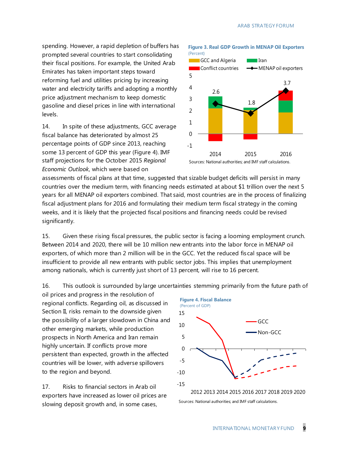spending. However, a rapid depletion of buffers has prompted several countries to start consolidating their fiscal positions. For example, the United Arab Emirates has taken important steps toward reforming fuel and utilities pricing by increasing water and electricity tariffs and adopting a monthly price adjustment mechanism to keep domestic gasoline and diesel prices in line with international levels.

14. In spite of these adjustments, GCC average fiscal balance has deteriorated by almost 25 percentage points of GDP since 2013, reaching some 13 percent of GDP this year (Figure 4). IMF staff projections for the October 2015 *Regional Economic Outlook*, which were based on



**Figure 3. Real GDP Growth in MENAP Oil Exporters**

Sources: National authorities; and IMF staff calculations.

assessments of fiscal plans at that time, suggested that sizable budget deficits will persist in many countries over the medium term, with financing needs estimated at about \$1 trillion over the next 5 years for all MENAP oil exporters combined. That said, most countries are in the process of finalizing fiscal adjustment plans for 2016 and formulating their medium term fiscal strategy in the coming weeks, and it is likely that the projected fiscal positions and financing needs could be revised significantly.

15. Given these rising fiscal pressures, the public sector is facing a looming employment crunch. Between 2014 and 2020, there will be 10 million new entrants into the labor force in MENAP oil exporters, of which more than 2 million will be in the GCC. Yet the reduced fis cal space will be insufficient to provide all new entrants with public sector jobs. This implies that unemployment among nationals, which is currently just short of 13 percent, will rise to 16 percent.

16. This outlook is surrounded by large uncertainties stemming primarily from the future path of

oil prices and progress in the resolution of regional conflicts. Regarding oil, as discussed in Section II, risks remain to the downside given the possibility of a larger slowdown in China and other emerging markets, while production prospects in North America and Iran remain highly uncertain. If conflicts prove more persistent than expected, growth in the affected countries will be lower, with adverse spillovers to the region and beyond.

17. Risks to financial sectors in Arab oil exporters have increased as lower oil prices are slowing deposit growth and, in some cases,



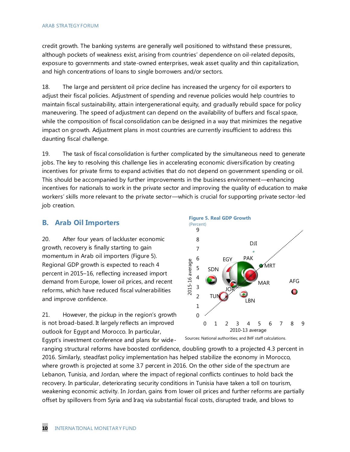credit growth. The banking systems are generally well positioned to withstand these pressures, although pockets of weakness exist, arising from countries' dependence on oil-related deposits, exposure to governments and state-owned enterprises, weak asset quality and thin capitalization, and high concentrations of loans to single borrowers and/or sectors.

18. The large and persistent oil price decline has increased the urgency for oil exporters to adjust their fiscal policies. Adjustment of spending and revenue policies would help countries to maintain fiscal sustainability, attain intergenerational equity, and gradually rebuild space for policy maneuvering. The speed of adjustment can depend on the availability of buffers and fiscal space, while the composition of fiscal consolidation can be designed in a way that minimizes the negative impact on growth. Adjustment plans in most countries are currently insufficient to address this daunting fiscal challenge.

19. The task of fiscal consolidation is further complicated by the simultaneous need to generate jobs. The key to resolving this challenge lies in accelerating economic diversification by creating incentives for private firms to expand activities that do not depend on government spending or oil. This should be accompanied by further improvements in the business environment—enhancing incentives for nationals to work in the private sector and improving the quality of education to make workers' skills more relevant to the private sector—which is crucial for supporting private sector-led job creation.

### **B. Arab Oil Importers**

20. After four years of lackluster economic growth, recovery is finally starting to gain momentum in Arab oil importers (Figure 5). Regional GDP growth is expected to reach 4 percent in 2015–16, reflecting increased import demand from Europe, lower oil prices, and recent reforms, which have reduced fiscal vulnerabilities and improve confidence.

21. However, the pickup in the region's growth is not broad-based. It largely reflects an improved outlook for Egypt and Morocco. In particular,

Egypt's investment conference and plans for wide-



Sources: National authorities; and IMF staff calculations.

ranging structural reforms have boosted confidence, doubling growth to a projected 4.3 percent in 2016. Similarly, steadfast policy implementation has helped stabilize the economy in Morocco, where growth is projected at some 3.7 percent in 2016. On the other side of the spectrum are Lebanon, Tunisia, and Jordan, where the impact of regional conflicts continues to hold back the recovery. In particular, deteriorating security conditions in Tunisia have taken a toll on tourism, weakening economic activity. In Jordan, gains from lower oil prices and further reforms are partially offset by spillovers from Syria and Iraq via substantial fiscal costs, disrupted trade, and blows to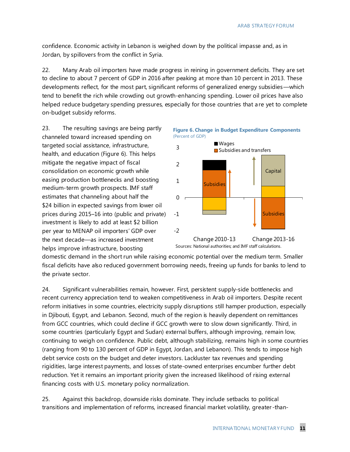confidence. Economic activity in Lebanon is weighed down by the political impasse and, as in Jordan, by spillovers from the conflict in Syria.

22. Many Arab oil importers have made progress in reining in government deficits. They are set to decline to about 7 percent of GDP in 2016 after peaking at more than 10 percent in 2013. These developments reflect, for the most part, significant reforms of generalized energy subsidies—which tend to benefit the rich while crowding out growth-enhancing spending. Lower oil prices have also helped reduce budgetary spending pressures, especially for those countries that are yet to complete on-budget subsidy reforms.

23. The resulting savings are being partly channeled toward increased spending on targeted social assistance, infrastructure, health, and education (Figure 6). This helps mitigate the negative impact of fiscal consolidation on economic growth while easing production bottlenecks and boosting medium-term growth prospects. IMF staff estimates that channeling about half the \$24 billion in expected savings from lower oil prices during 2015–16 into (public and private) investment is likely to add at least \$2 billion per year to MENAP oil importers' GDP over the next decade—as increased investment helps improve infrastructure, boosting



domestic demand in the short run while raising economic potential over the medium term. Smaller fiscal deficits have also reduced government borrowing needs, freeing up funds for banks to lend to the private sector.

Capital<br>
Interiors and MF staff calculations.<br>
Interiors and MF staff calculations.<br>
Interiors and MF staff calculations.<br>
Interior and MF staff calculations.<br>
Interior and MF staff calculations.<br>
Interior and Star Star Ba 24. Significant vulnerabilities remain, however. First, persistent supply-side bottlenecks and recent currency appreciation tend to weaken competitiveness in Arab oil importers. Despite recent reform initiatives in some countries, electricity supply disruptions still hamper production, especially in Djibouti, Egypt, and Lebanon. Second, much of the region is heavily dependent on remittances from GCC countries, which could decline if GCC growth were to slow down significantly. Third, in some countries (particularly Egypt and Sudan) external buffers, although improving, remain low, continuing to weigh on confidence. Public debt, although stabilizing, remains high in some countries (ranging from 90 to 130 percent of GDP in Egypt, Jordan, and Lebanon). This tends to impose high debt service costs on the budget and deter investors. Lackluster tax revenues and spending rigidities, large interest payments, and losses of state-owned enterprises encumber further debt reduction. Yet it remains an important priority given the increased likelihood of rising external financing costs with U.S. monetary policy normalization.

25. Against this backdrop, downside risks dominate. They include setbacks to political transitions and implementation of reforms, increased financial market volatility, greater -than